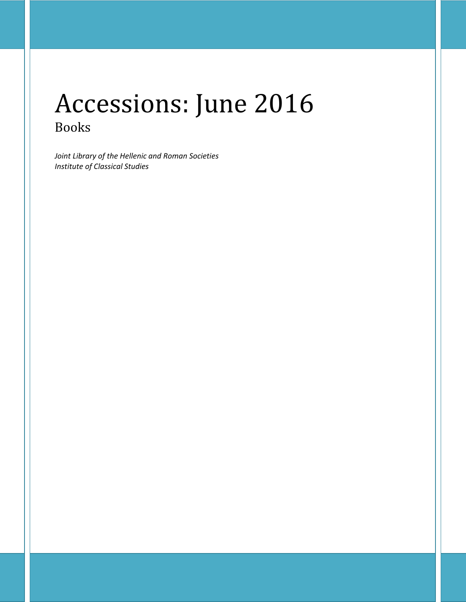# Accessions: June 2016 Books

*Joint Library of the Hellenic and Roman Societies Institute of Classical Studies*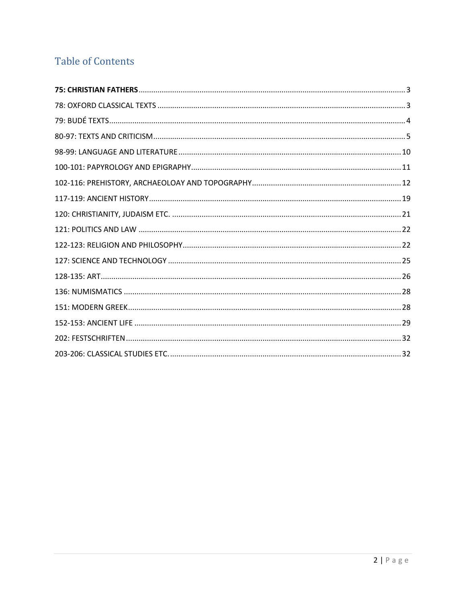## **Table of Contents**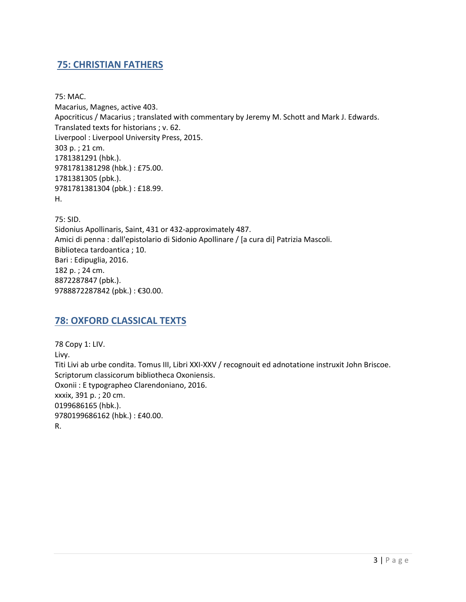## <span id="page-2-0"></span>**75: CHRISTIAN FATHERS**

75: MAC. Macarius, Magnes, active 403. Apocriticus / Macarius ; translated with commentary by Jeremy M. Schott and Mark J. Edwards. Translated texts for historians ; v. 62. Liverpool : Liverpool University Press, 2015. 303 p. ; 21 cm. 1781381291 (hbk.). 9781781381298 (hbk.) : £75.00. 1781381305 (pbk.). 9781781381304 (pbk.) : £18.99. H.

75: SID. Sidonius Apollinaris, Saint, 431 or 432-approximately 487. Amici di penna : dall'epistolario di Sidonio Apollinare / [a cura di] Patrizia Mascoli. Biblioteca tardoantica ; 10. Bari : Edipuglia, 2016. 182 p. ; 24 cm. 8872287847 (pbk.). 9788872287842 (pbk.) : €30.00.

## <span id="page-2-1"></span>**78: OXFORD CLASSICAL TEXTS**

78 Copy 1: LIV. Livy. Titi Livi ab urbe condita. Tomus III, Libri XXI-XXV / recognouit ed adnotatione instruxit John Briscoe. Scriptorum classicorum bibliotheca Oxoniensis. Oxonii : E typographeo Clarendoniano, 2016. xxxix, 391 p. ; 20 cm. 0199686165 (hbk.). 9780199686162 (hbk.) : £40.00. R.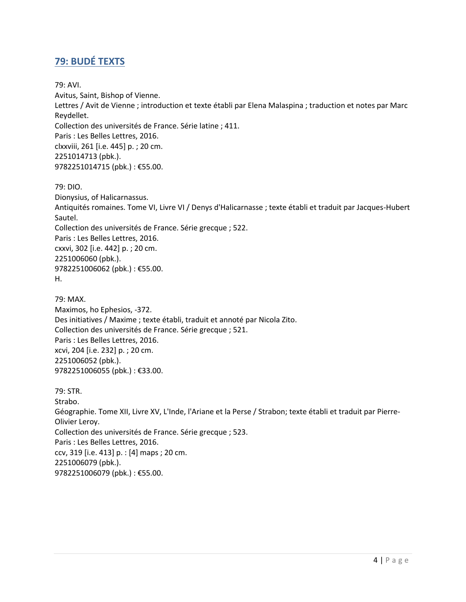## <span id="page-3-0"></span>**79: BUDÉ TEXTS**

79: AVI.

Avitus, Saint, Bishop of Vienne. Lettres / Avit de Vienne ; introduction et texte établi par Elena Malaspina ; traduction et notes par Marc Reydellet. Collection des universités de France. Série latine ; 411. Paris : Les Belles Lettres, 2016. clxxviii, 261 [i.e. 445] p. ; 20 cm. 2251014713 (pbk.). 9782251014715 (pbk.) : €55.00.

79: DIO.

Dionysius, of Halicarnassus. Antiquités romaines. Tome VI, Livre VI / Denys d'Halicarnasse ; texte établi et traduit par Jacques-Hubert Sautel. Collection des universités de France. Série grecque ; 522. Paris : Les Belles Lettres, 2016. cxxvi, 302 [i.e. 442] p. ; 20 cm. 2251006060 (pbk.). 9782251006062 (pbk.) : €55.00. H.

79: MAX. Maximos, ho Ephesios, -372. Des initiatives / Maxime ; texte établi, traduit et annoté par Nicola Zito. Collection des universités de France. Série grecque ; 521. Paris : Les Belles Lettres, 2016. xcvi, 204 [i.e. 232] p. ; 20 cm. 2251006052 (pbk.). 9782251006055 (pbk.) : €33.00.

79: STR. Strabo. Géographie. Tome XII, Livre XV, L'Inde, l'Ariane et la Perse / Strabon; texte établi et traduit par Pierre-Olivier Leroy. Collection des universités de France. Série grecque ; 523. Paris : Les Belles Lettres, 2016. ccv, 319 [i.e. 413] p. : [4] maps ; 20 cm. 2251006079 (pbk.). 9782251006079 (pbk.) : €55.00.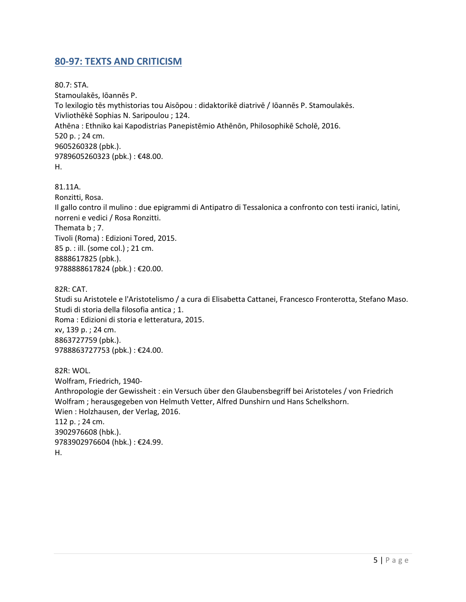## <span id="page-4-0"></span>**80-97: TEXTS AND CRITICISM**

80.7: STA. Stamoulakēs, Iōannēs P. To lexilogio tēs mythistorias tou Aisōpou : didaktorikē diatrivē / Iōannēs P. Stamoulakēs. Vivliothēkē Sophias N. Saripoulou ; 124. Athēna : Ethniko kai Kapodistrias Panepistēmio Athēnōn, Philosophikē Scholē, 2016. 520 p. ; 24 cm. 9605260328 (pbk.). 9789605260323 (pbk.): €48.00. H.

#### 81.11A.

Ronzitti, Rosa. Il gallo contro il mulino : due epigrammi di Antipatro di Tessalonica a confronto con testi iranici, latini, norreni e vedici / Rosa Ronzitti. Themata b ; 7. Tivoli (Roma) : Edizioni Tored, 2015. 85 p. : ill. (some col.) ; 21 cm. 8888617825 (pbk.). 9788888617824 (pbk.) : €20.00.

82R: CAT.

Studi su Aristotele e l'Aristotelismo / a cura di Elisabetta Cattanei, Francesco Fronterotta, Stefano Maso. Studi di storia della filosofia antica ; 1. Roma : Edizioni di storia e letteratura, 2015. xv, 139 p. ; 24 cm. 8863727759 (pbk.). 9788863727753 (pbk.) : €24.00.

82R: WOL. Wolfram, Friedrich, 1940- Anthropologie der Gewissheit : ein Versuch über den Glaubensbegriff bei Aristoteles / von Friedrich Wolfram ; herausgegeben von Helmuth Vetter, Alfred Dunshirn und Hans Schelkshorn. Wien : Holzhausen, der Verlag, 2016. 112 p. ; 24 cm. 3902976608 (hbk.). 9783902976604 (hbk.) : €24.99. H.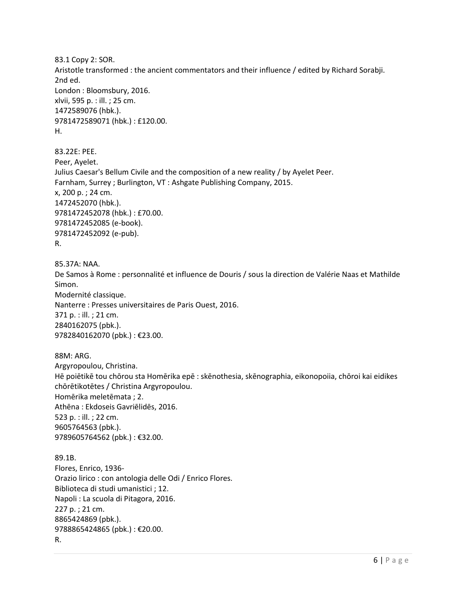83.1 Copy 2: SOR. Aristotle transformed : the ancient commentators and their influence / edited by Richard Sorabji. 2nd ed. London : Bloomsbury, 2016. xlvii, 595 p. : ill. ; 25 cm. 1472589076 (hbk.). 9781472589071 (hbk.) : £120.00. H.

83.22E: PEE. Peer, Ayelet. Julius Caesar's Bellum Civile and the composition of a new reality / by Ayelet Peer. Farnham, Surrey ; Burlington, VT : Ashgate Publishing Company, 2015. x, 200 p. ; 24 cm. 1472452070 (hbk.). 9781472452078 (hbk.) : £70.00. 9781472452085 (e-book). 9781472452092 (e-pub). R.

85.37A: NAA. De Samos à Rome : personnalité et influence de Douris / sous la direction de Valérie Naas et Mathilde Simon. Modernité classique. Nanterre : Presses universitaires de Paris Ouest, 2016. 371 p. : ill. ; 21 cm. 2840162075 (pbk.). 9782840162070 (pbk.) : €23.00.

88M: ARG. Argyropoulou, Christina. Hē poiētikē tou chōrou sta Homērika epē : skēnothesia, skēnographia, eikonopoiia, chōroi kai eidikes chōrētikotētes / Christina Argyropoulou. Homērika meletēmata ; 2. Athēna : Ekdoseis Gavriēlidēs, 2016. 523 p. : ill. ; 22 cm. 9605764563 (pbk.). 9789605764562 (pbk.) : €32.00.

89.1B. Flores, Enrico, 1936- Orazio lirico : con antologia delle Odi / Enrico Flores. Biblioteca di studi umanistici ; 12. Napoli : La scuola di Pitagora, 2016. 227 p. ; 21 cm. 8865424869 (pbk.). 9788865424865 (pbk.) : €20.00. R.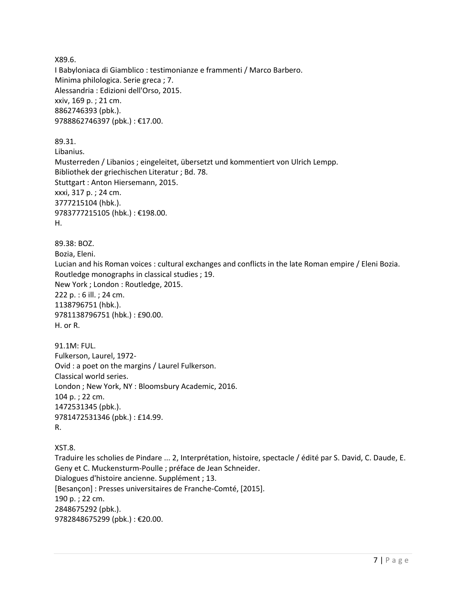X89.6. I Babyloniaca di Giamblico : testimonianze e frammenti / Marco Barbero. Minima philologica. Serie greca ; 7. Alessandria : Edizioni dell'Orso, 2015. xxiv, 169 p. ; 21 cm. 8862746393 (pbk.). 9788862746397 (pbk.) : €17.00. 89.31. Libanius. Musterreden / Libanios ; eingeleitet, übersetzt und kommentiert von Ulrich Lempp. Bibliothek der griechischen Literatur ; Bd. 78.

Stuttgart : Anton Hiersemann, 2015. xxxi, 317 p. ; 24 cm. 3777215104 (hbk.). 9783777215105 (hbk.) : €198.00.

H.

89.38: BOZ. Bozia, Eleni. Lucian and his Roman voices : cultural exchanges and conflicts in the late Roman empire / Eleni Bozia. Routledge monographs in classical studies ; 19. New York ; London : Routledge, 2015. 222 p. : 6 ill. ; 24 cm. 1138796751 (hbk.). 9781138796751 (hbk.) : £90.00. H. or R.

91.1M: FUL. Fulkerson, Laurel, 1972- Ovid : a poet on the margins / Laurel Fulkerson. Classical world series. London ; New York, NY : Bloomsbury Academic, 2016. 104 p. ; 22 cm. 1472531345 (pbk.). 9781472531346 (pbk.) : £14.99. R.

XST.8. Traduire les scholies de Pindare ... 2, Interprétation, histoire, spectacle / édité par S. David, C. Daude, E. Geny et C. Muckensturm-Poulle ; préface de Jean Schneider. Dialogues d'histoire ancienne. Supplément ; 13. [Besançon] : Presses universitaires de Franche-Comté, [2015]. 190 p. ; 22 cm. 2848675292 (pbk.). 9782848675299 (pbk.) : €20.00.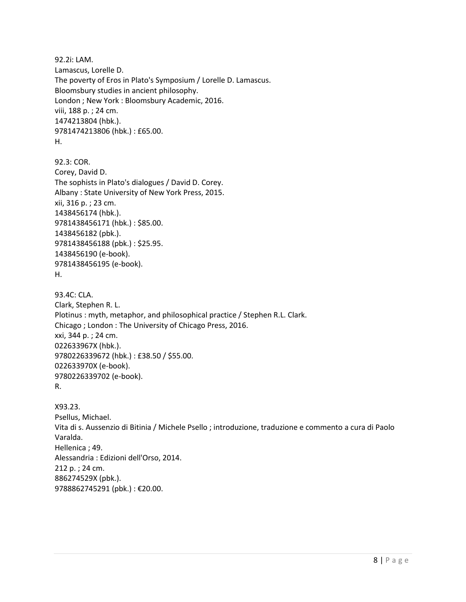92.2i: LAM. Lamascus, Lorelle D. The poverty of Eros in Plato's Symposium / Lorelle D. Lamascus. Bloomsbury studies in ancient philosophy. London ; New York : Bloomsbury Academic, 2016. viii, 188 p. ; 24 cm. 1474213804 (hbk.). 9781474213806 (hbk.) : £65.00. H. 92.3: COR. Corey, David D. The sophists in Plato's dialogues / David D. Corey. Albany : State University of New York Press, 2015. xii, 316 p. ; 23 cm. 1438456174 (hbk.). 9781438456171 (hbk.) : \$85.00. 1438456182 (pbk.). 9781438456188 (pbk.) : \$25.95. 1438456190 (e-book). 9781438456195 (e-book). H. 93.4C: CLA. Clark, Stephen R. L. Plotinus : myth, metaphor, and philosophical practice / Stephen R.L. Clark. Chicago ; London : The University of Chicago Press, 2016. xxi, 344 p. ; 24 cm. 022633967X (hbk.). 9780226339672 (hbk.) : £38.50 / \$55.00. 022633970X (e-book). 9780226339702 (e-book). R. X93.23. Psellus, Michael. Vita di s. Aussenzio di Bitinia / Michele Psello ; introduzione, traduzione e commento a cura di Paolo Varalda. Hellenica ; 49. Alessandria : Edizioni dell'Orso, 2014. 212 p. ; 24 cm. 886274529X (pbk.). 9788862745291 (pbk.) : €20.00.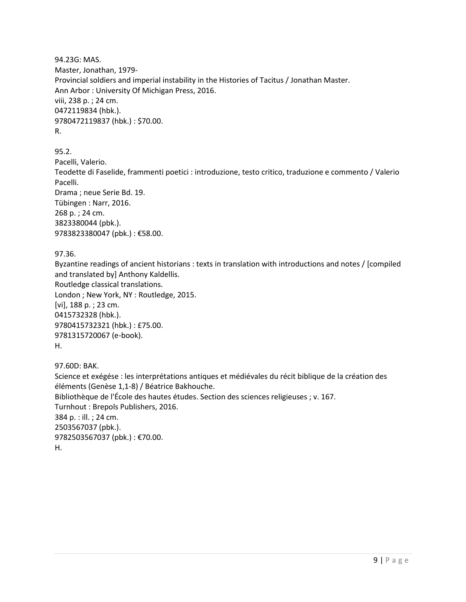94.23G: MAS. Master, Jonathan, 1979- Provincial soldiers and imperial instability in the Histories of Tacitus / Jonathan Master. Ann Arbor : University Of Michigan Press, 2016. viii, 238 p. ; 24 cm. 0472119834 (hbk.). 9780472119837 (hbk.) : \$70.00. R.

95.2. Pacelli, Valerio. Teodette di Faselide, frammenti poetici : introduzione, testo critico, traduzione e commento / Valerio Pacelli. Drama ; neue Serie Bd. 19. Tübingen : Narr, 2016. 268 p. ; 24 cm. 3823380044 (pbk.). 9783823380047 (pbk.) : €58.00.

97.36.

Byzantine readings of ancient historians : texts in translation with introductions and notes / [compiled and translated by] Anthony Kaldellis. Routledge classical translations. London ; New York, NY : Routledge, 2015. [vi], 188 p. ; 23 cm. 0415732328 (hbk.). 9780415732321 (hbk.) : £75.00. 9781315720067 (e-book). H.

97.60D: BAK.

Science et exégése : les interprétations antiques et médiévales du récit biblique de la création des éléments (Genèse 1,1-8) / Béatrice Bakhouche. Bibliothèque de l'École des hautes études. Section des sciences religieuses ; v. 167. Turnhout : Brepols Publishers, 2016. 384 p. : ill. ; 24 cm. 2503567037 (pbk.). 9782503567037 (pbk.) : €70.00. H.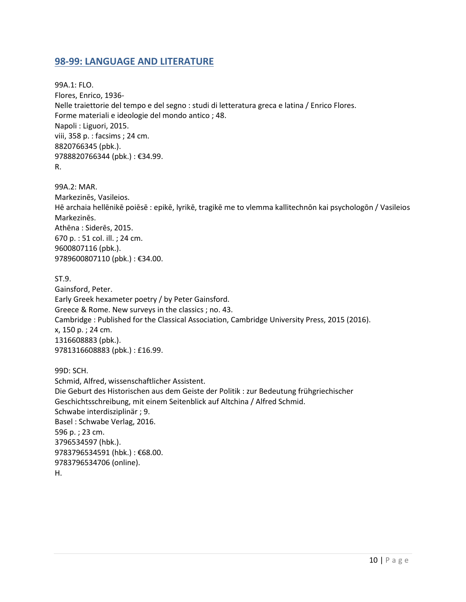## <span id="page-9-0"></span>**98-99: LANGUAGE AND LITERATURE**

99A.1: FLO. Flores, Enrico, 1936- Nelle traiettorie del tempo e del segno : studi di letteratura greca e latina / Enrico Flores. Forme materiali e ideologie del mondo antico ; 48. Napoli : Liguori, 2015. viii, 358 p. : facsims ; 24 cm. 8820766345 (pbk.). 9788820766344 (pbk.) : €34.99. R.

99A.2: MAR. Markezinēs, Vasileios. Hē archaia hellēnikē poiēsē : epikē, lyrikē, tragikē me to vlemma kallitechnōn kai psychologōn / Vasileios Markezinēs. Athēna : Siderēs, 2015. 670 p. : 51 col. ill. ; 24 cm. 9600807116 (pbk.). 9789600807110 (pbk.) : €34.00.

ST.9.

Gainsford, Peter. Early Greek hexameter poetry / by Peter Gainsford. Greece & Rome. New surveys in the classics ; no. 43. Cambridge : Published for the Classical Association, Cambridge University Press, 2015 (2016). x, 150 p. ; 24 cm. 1316608883 (pbk.). 9781316608883 (pbk.) : £16.99.

99D: SCH. Schmid, Alfred, wissenschaftlicher Assistent. Die Geburt des Historischen aus dem Geiste der Politik : zur Bedeutung frühgriechischer Geschichtsschreibung, mit einem Seitenblick auf Altchina / Alfred Schmid. Schwabe interdisziplinär ; 9. Basel : Schwabe Verlag, 2016. 596 p. ; 23 cm. 3796534597 (hbk.). 9783796534591 (hbk.) : €68.00. 9783796534706 (online). H.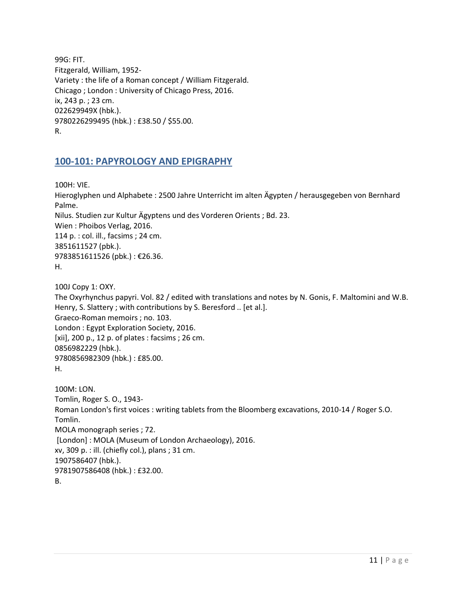99G: FIT. Fitzgerald, William, 1952- Variety : the life of a Roman concept / William Fitzgerald. Chicago ; London : University of Chicago Press, 2016. ix, 243 p. ; 23 cm. 022629949X (hbk.). 9780226299495 (hbk.) : £38.50 / \$55.00. R.

## <span id="page-10-0"></span>**100-101: PAPYROLOGY AND EPIGRAPHY**

100H: VIE. Hieroglyphen und Alphabete : 2500 Jahre Unterricht im alten Ägypten / herausgegeben von Bernhard Palme. Nilus. Studien zur Kultur Ägyptens und des Vorderen Orients ; Bd. 23. Wien : Phoibos Verlag, 2016. 114 p. : col. ill., facsims ; 24 cm. 3851611527 (pbk.). 9783851611526 (pbk.) : €26.36. H.

100J Copy 1: OXY. The Oxyrhynchus papyri. Vol. 82 / edited with translations and notes by N. Gonis, F. Maltomini and W.B. Henry, S. Slattery ; with contributions by S. Beresford .. [et al.]. Graeco-Roman memoirs ; no. 103. London : Egypt Exploration Society, 2016. [xii], 200 p., 12 p. of plates : facsims ; 26 cm. 0856982229 (hbk.). 9780856982309 (hbk.) : £85.00. H.

100M: LON. Tomlin, Roger S. O., 1943- Roman London's first voices : writing tablets from the Bloomberg excavations, 2010-14 / Roger S.O. Tomlin. MOLA monograph series ; 72. [London] : MOLA (Museum of London Archaeology), 2016. xv, 309 p. : ill. (chiefly col.), plans ; 31 cm. 1907586407 (hbk.). 9781907586408 (hbk.) : £32.00. B.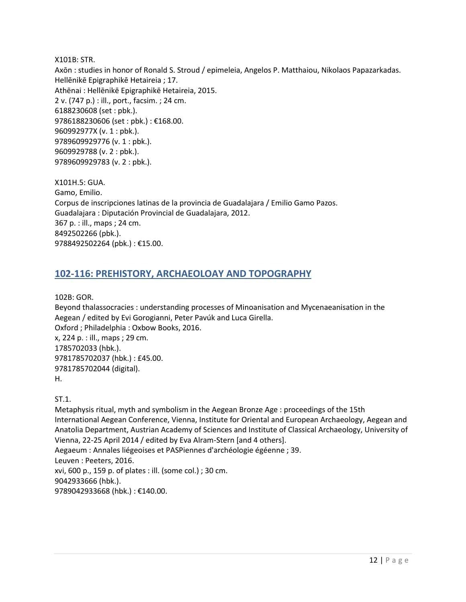X101B: STR.

Axōn : studies in honor of Ronald S. Stroud / epimeleia, Angelos P. Matthaiou, Nikolaos Papazarkadas. Hellēnikē Epigraphikē Hetaireia ; 17. Athēnai : Hellēnikē Epigraphikē Hetaireia, 2015. 2 v. (747 p.) : ill., port., facsim. ; 24 cm. 6188230608 (set : pbk.). 9786188230606 (set : pbk.) : €168.00. 960992977X (v. 1 : pbk.). 9789609929776 (v. 1 : pbk.). 9609929788 (v. 2 : pbk.). 9789609929783 (v. 2 : pbk.).

X101H.5: GUA. Gamo, Emilio. Corpus de inscripciones latinas de la provincia de Guadalajara / Emilio Gamo Pazos. Guadalajara : Diputación Provincial de Guadalajara, 2012. 367 p. : ill., maps ; 24 cm. 8492502266 (pbk.). 9788492502264 (pbk.) : €15.00.

## <span id="page-11-0"></span>**102-116: PREHISTORY, ARCHAEOLOAY AND TOPOGRAPHY**

102B: GOR.

Beyond thalassocracies : understanding processes of Minoanisation and Mycenaeanisation in the Aegean / edited by Evi Gorogianni, Peter Pavúk and Luca Girella. Oxford ; Philadelphia : Oxbow Books, 2016. x, 224 p. : ill., maps ; 29 cm. 1785702033 (hbk.). 9781785702037 (hbk.) : £45.00. 9781785702044 (digital). H.

ST.1.

Metaphysis ritual, myth and symbolism in the Aegean Bronze Age : proceedings of the 15th International Aegean Conference, Vienna, Institute for Oriental and European Archaeology, Aegean and Anatolia Department, Austrian Academy of Sciences and Institute of Classical Archaeology, University of Vienna, 22-25 April 2014 / edited by Eva Alram-Stern [and 4 others]. Aegaeum : Annales liégeoises et PASPiennes d'archéologie égéenne ; 39. Leuven : Peeters, 2016. xvi, 600 p., 159 p. of plates : ill. (some col.) ; 30 cm. 9042933666 (hbk.). 9789042933668 (hbk.) : €140.00.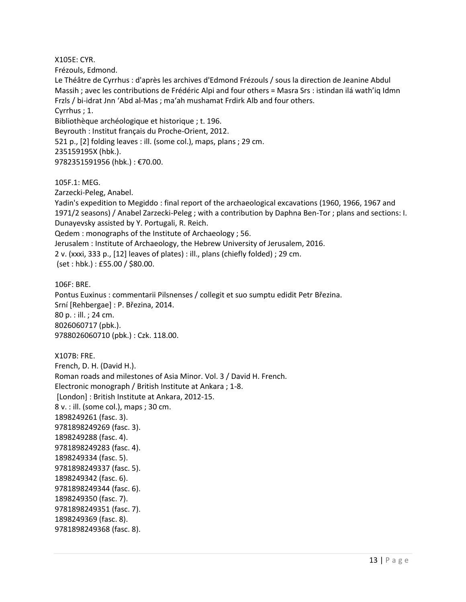X105E: CYR.

Frézouls, Edmond.

Le Théâtre de Cyrrhus : d'après les archives d'Edmond Frézouls / sous la direction de Jeanine Abdul Massih ; avec les contributions de Frédéric Alpi and four others = Masra Srs : istindan ilá wath'iq Idmn Frzls / bi-idrat Jnn ʻAbd al-Mas ; maʻah mushamat Frdirk Alb and four others.

Cyrrhus ; 1.

Bibliothèque archéologique et historique ; t. 196.

Beyrouth : Institut français du Proche-Orient, 2012.

521 p., [2] folding leaves : ill. (some col.), maps, plans ; 29 cm.

235159195X (hbk.).

9782351591956 (hbk.) : €70.00.

105F.1: MEG.

Zarzecki-Peleg, Anabel.

Yadin's expedition to Megiddo : final report of the archaeological excavations (1960, 1966, 1967 and 1971/2 seasons) / Anabel Zarzecki-Peleg ; with a contribution by Daphna Ben-Tor ; plans and sections: I. Dunayevsky assisted by Y. Portugali, R. Reich.

Qedem : monographs of the Institute of Archaeology ; 56.

Jerusalem : Institute of Archaeology, the Hebrew University of Jerusalem, 2016.

2 v. (xxxi, 333 p., [12] leaves of plates) : ill., plans (chiefly folded) ; 29 cm.

(set : hbk.) : £55.00 / \$80.00.

106F: BRE.

Pontus Euxinus : commentarii Pilsnenses / collegit et suo sumptu edidit Petr Březina. Srní [Rehbergae] : P. Březina, 2014. 80 p. : ill. ; 24 cm. 8026060717 (pbk.). 9788026060710 (pbk.) : Czk. 118.00.

X107B: FRE.

French, D. H. (David H.). Roman roads and milestones of Asia Minor. Vol. 3 / David H. French. Electronic monograph / British Institute at Ankara ; 1-8. [London] : British Institute at Ankara, 2012-15. 8 v. : ill. (some col.), maps ; 30 cm. 1898249261 (fasc. 3). 9781898249269 (fasc. 3). 1898249288 (fasc. 4). 9781898249283 (fasc. 4). 1898249334 (fasc. 5). 9781898249337 (fasc. 5). 1898249342 (fasc. 6). 9781898249344 (fasc. 6). 1898249350 (fasc. 7). 9781898249351 (fasc. 7). 1898249369 (fasc. 8). 9781898249368 (fasc. 8).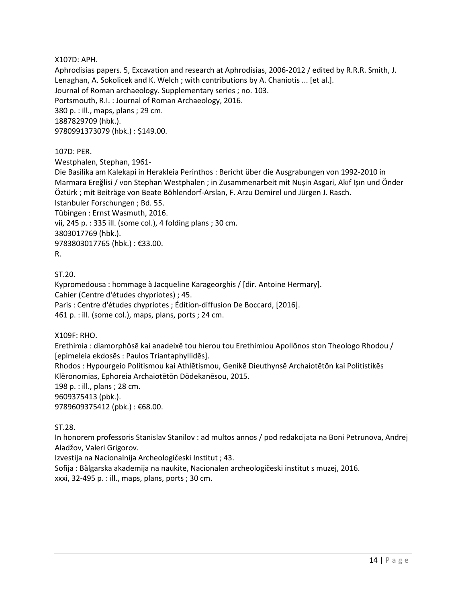X107D: APH.

Aphrodisias papers. 5, Excavation and research at Aphrodisias, 2006-2012 / edited by R.R.R. Smith, J. Lenaghan, A. Sokolicek and K. Welch ; with contributions by A. Chaniotis ... [et al.]. Journal of Roman archaeology. Supplementary series ; no. 103. Portsmouth, R.I. : Journal of Roman Archaeology, 2016. 380 p. : ill., maps, plans ; 29 cm. 1887829709 (hbk.). 9780991373079 (hbk.) : \$149.00.

#### 107D: PER.

Westphalen, Stephan, 1961-

Die Basilika am Kalekapi in Herakleia Perinthos : Bericht über die Ausgrabungen von 1992-2010 in Marmara Ereğlisi / von Stephan Westphalen ; in Zusammenarbeit mit Nușin Asgari, Akıf Ișın und Önder Öztürk ; mit Beiträge von Beate Böhlendorf-Arslan, F. Arzu Demirel und Jürgen J. Rasch. Istanbuler Forschungen ; Bd. 55. Tübingen : Ernst Wasmuth, 2016. vii, 245 p. : 335 ill. (some col.), 4 folding plans ; 30 cm. 3803017769 (hbk.). 9783803017765 (hbk.) : €33.00.

#### R.

ST.20.

Kypromedousa : hommage à Jacqueline Karageorghis / [dir. Antoine Hermary]. Cahier (Centre d'études chypriotes) ; 45. Paris : Centre d'études chypriotes ; Édition-diffusion De Boccard, [2016]. 461 p. : ill. (some col.), maps, plans, ports ; 24 cm.

X109F: RHO.

Erethimia : diamorphōsē kai anadeixē tou hierou tou Erethimiou Apollōnos ston Theologo Rhodou / [epimeleia ekdosēs : Paulos Triantaphyllidēs].

Rhodos : Hypourgeio Politismou kai Athlētismou, Genikē Dieuthynsē Archaiotētōn kai Politistikēs Klēronomias, Ephoreia Archaiotētōn Dōdekanēsou, 2015.

198 p. : ill., plans ; 28 cm.

9609375413 (pbk.).

9789609375412 (pbk.) : €68.00.

ST.28.

In honorem professoris Stanislav Stanilov : ad multos annos / pod redakcijata na Boni Petrunova, Andrej Aladžov, Valeri Grigorov.

Izvestija na Nacionalnija Archeologičeski Institut ; 43.

Sofija : Bălgarska akademija na naukite, Nacionalen archeologičeski institut s muzej, 2016. xxxi, 32-495 p. : ill., maps, plans, ports ; 30 cm.

14 | P a g e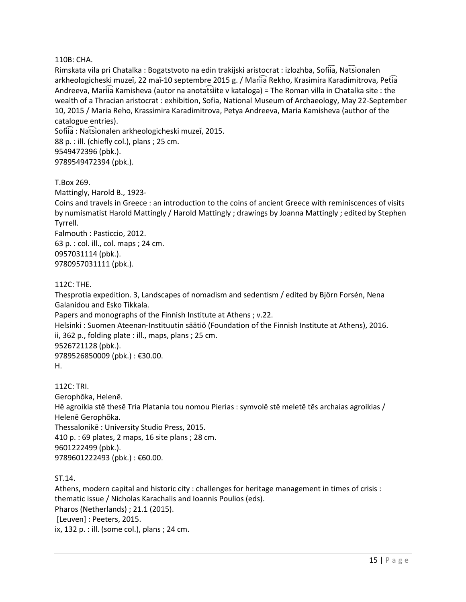#### 110B: CHA.

Rimskata vila pri Chatalka : Bogatstvoto na edin trakijski aristocrat : izlozhba, Sofiia, Nat͡sionalen arkheologicheski muzeĭ, 22 maĭ-10 septembre 2015 g. / Mariia Rekho, Krasimira Karadimitrova, Petia Andreeva, Mariia Kamisheva (autor na anotat͡siite v kataloga) = The Roman villa in Chatalka site : the wealth of a Thracian aristocrat : exhibition, Sofia, National Museum of Archaeology, May 22-September 10, 2015 / Maria Reho, Krassimira Karadimitrova, Petya Andreeva, Maria Kamisheva (author of the catalogue entries).

Sofiia : Natsionalen arkheologicheski muzeĭ, 2015. 88 p. : ill. (chiefly col.), plans ; 25 cm. 9549472396 (pbk.). 9789549472394 (pbk.).

T.Box 269.

Mattingly, Harold B., 1923-

Coins and travels in Greece : an introduction to the coins of ancient Greece with reminiscences of visits by numismatist Harold Mattingly / Harold Mattingly ; drawings by Joanna Mattingly ; edited by Stephen Tyrrell.

Falmouth : Pasticcio, 2012. 63 p. : col. ill., col. maps ; 24 cm. 0957031114 (pbk.). 9780957031111 (pbk.).

#### 112C: THE.

Thesprotia expedition. 3, Landscapes of nomadism and sedentism / edited by Björn Forsén, Nena Galanidou and Esko Tikkala.

Papers and monographs of the Finnish Institute at Athens ; v.22.

Helsinki : Suomen Ateenan-Instituutin säätiö (Foundation of the Finnish Institute at Athens), 2016. ii, 362 p., folding plate : ill., maps, plans ; 25 cm. 9526721128 (pbk.). 9789526850009 (pbk.) : €30.00. H.

112C: TRI. Gerophōka, Helenē. Hē agroikia stē thesē Tria Platania tou nomou Pierias : symvolē stē meletē tēs archaias agroikias / Helenē Gerophōka. Thessalonikē : University Studio Press, 2015. 410 p. : 69 plates, 2 maps, 16 site plans ; 28 cm. 9601222499 (pbk.). 9789601222493 (pbk.) : €60.00.

ST.14.

Athens, modern capital and historic city : challenges for heritage management in times of crisis : thematic issue / Nicholas Karachalis and Ioannis Poulios (eds). Pharos (Netherlands) ; 21.1 (2015). [Leuven] : Peeters, 2015. ix, 132 p. : ill. (some col.), plans ; 24 cm.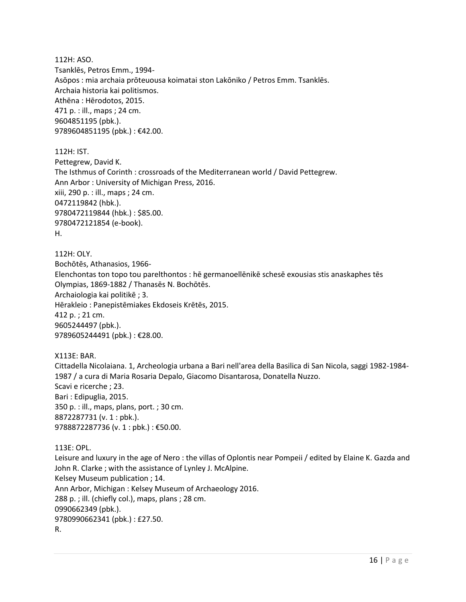112H: ASO. Tsanklēs, Petros Emm., 1994- Asōpos : mia archaia prōteuousa koimatai ston Lakōniko / Petros Emm. Tsanklēs. Archaia historia kai politismos. Athēna : Hērodotos, 2015. 471 p. : ill., maps ; 24 cm. 9604851195 (pbk.). 9789604851195 (pbk.) : €42.00.

112H: IST. Pettegrew, David K. The Isthmus of Corinth : crossroads of the Mediterranean world / David Pettegrew. Ann Arbor : University of Michigan Press, 2016. xiii, 290 p. : ill., maps ; 24 cm. 0472119842 (hbk.). 9780472119844 (hbk.) : \$85.00. 9780472121854 (e-book). H.

112H: OLY. Bochōtēs, Athanasios, 1966- Elenchontas ton topo tou parelthontos : hē germanoellēnikē schesē exousias stis anaskaphes tēs Olympias, 1869-1882 / Thanasēs N. Bochōtēs. Archaiologia kai politikē ; 3. Hērakleio : Panepistēmiakes Ekdoseis Krētēs, 2015. 412 p. ; 21 cm. 9605244497 (pbk.). 9789605244491 (pbk.) : €28.00.

X113E: BAR. Cittadella Nicolaiana. 1, Archeologia urbana a Bari nell'area della Basilica di San Nicola, saggi 1982-1984- 1987 / a cura di Maria Rosaria Depalo, Giacomo Disantarosa, Donatella Nuzzo. Scavi e ricerche ; 23. Bari : Edipuglia, 2015. 350 p. : ill., maps, plans, port. ; 30 cm. 8872287731 (v. 1 : pbk.). 9788872287736 (v. 1 : pbk.) : €50.00.

113E: OPL. Leisure and luxury in the age of Nero : the villas of Oplontis near Pompeii / edited by Elaine K. Gazda and John R. Clarke ; with the assistance of Lynley J. McAlpine. Kelsey Museum publication ; 14. Ann Arbor, Michigan : Kelsey Museum of Archaeology 2016. 288 p. ; ill. (chiefly col.), maps, plans ; 28 cm. 0990662349 (pbk.). 9780990662341 (pbk.) : £27.50. R.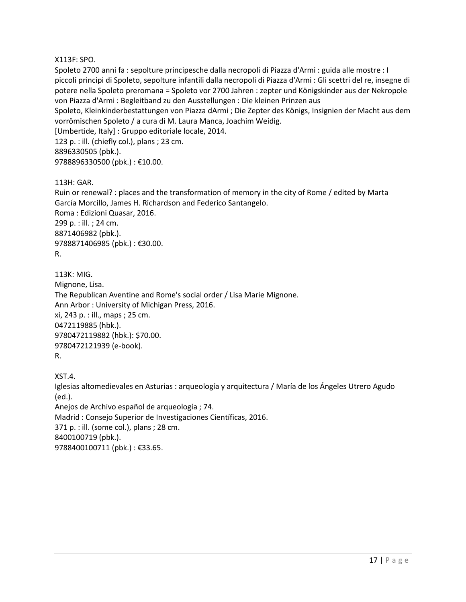#### X113F: SPO.

Spoleto 2700 anni fa : sepolture principesche dalla necropoli di Piazza d'Armi : guida alle mostre : I piccoli principi di Spoleto, sepolture infantili dalla necropoli di Piazza d'Armi : Gli scettri del re, insegne di potere nella Spoleto preromana = Spoleto vor 2700 Jahren : zepter und Königskinder aus der Nekropole von Piazza d'Armi : Begleitband zu den Ausstellungen : Die kleinen Prinzen aus

Spoleto, Kleinkinderbestattungen von Piazza dArmi ; Die Zepter des Königs, Insignien der Macht aus dem vorrömischen Spoleto / a cura di M. Laura Manca, Joachim Weidig.

[Umbertide, Italy] : Gruppo editoriale locale, 2014.

123 p. : ill. (chiefly col.), plans ; 23 cm. 8896330505 (pbk.). 9788896330500 (pbk.) : €10.00.

#### 113H: GAR.

Ruin or renewal? : places and the transformation of memory in the city of Rome / edited by Marta García Morcillo, James H. Richardson and Federico Santangelo. Roma : Edizioni Quasar, 2016. 299 p. : ill. ; 24 cm. 8871406982 (pbk.). 9788871406985 (pbk.) : €30.00. R.

113K: MIG. Mignone, Lisa. The Republican Aventine and Rome's social order / Lisa Marie Mignone. Ann Arbor : University of Michigan Press, 2016. xi, 243 p. : ill., maps ; 25 cm. 0472119885 (hbk.). 9780472119882 (hbk.): \$70.00. 9780472121939 (e-book). R.

XST.4.

Iglesias altomedievales en Asturias : arqueología y arquitectura / María de los Ángeles Utrero Agudo (ed.). Anejos de Archivo español de arqueología ; 74. Madrid : Consejo Superior de Investigaciones Científicas, 2016. 371 p. : ill. (some col.), plans ; 28 cm. 8400100719 (pbk.). 9788400100711 (pbk.) : €33.65.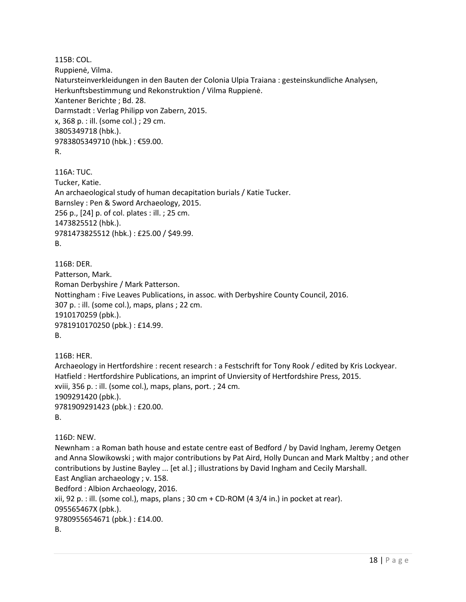115B: COL. Ruppienė, Vilma. Natursteinverkleidungen in den Bauten der Colonia Ulpia Traiana : gesteinskundliche Analysen, Herkunftsbestimmung und Rekonstruktion / Vilma Ruppienė. Xantener Berichte ; Bd. 28. Darmstadt : Verlag Philipp von Zabern, 2015. x, 368 p. : ill. (some col.) ; 29 cm. 3805349718 (hbk.). 9783805349710 (hbk.) : €59.00. R.

116A: TUC. Tucker, Katie. An archaeological study of human decapitation burials / Katie Tucker. Barnsley : Pen & Sword Archaeology, 2015. 256 p., [24] p. of col. plates : ill. ; 25 cm. 1473825512 (hbk.). 9781473825512 (hbk.) : £25.00 / \$49.99. B.

116B: DER. Patterson, Mark. Roman Derbyshire / Mark Patterson. Nottingham : Five Leaves Publications, in assoc. with Derbyshire County Council, 2016. 307 p. : ill. (some col.), maps, plans ; 22 cm. 1910170259 (pbk.). 9781910170250 (pbk.) : £14.99. B.

116B: HER. Archaeology in Hertfordshire : recent research : a Festschrift for Tony Rook / edited by Kris Lockyear. Hatfield : Hertfordshire Publications, an imprint of Unviersity of Hertfordshire Press, 2015. xviii, 356 p. : ill. (some col.), maps, plans, port. ; 24 cm. 1909291420 (pbk.). 9781909291423 (pbk.) : £20.00. B.

```
116D: NEW.
```
Newnham : a Roman bath house and estate centre east of Bedford / by David Ingham, Jeremy Oetgen and Anna Slowikowski ; with major contributions by Pat Aird, Holly Duncan and Mark Maltby ; and other contributions by Justine Bayley ... [et al.] ; illustrations by David Ingham and Cecily Marshall. East Anglian archaeology ; v. 158.

Bedford : Albion Archaeology, 2016. xii, 92 p. : ill. (some col.), maps, plans ; 30 cm  $+$  CD-ROM (4 3/4 in.) in pocket at rear). 095565467X (pbk.). 9780955654671 (pbk.) : £14.00. B.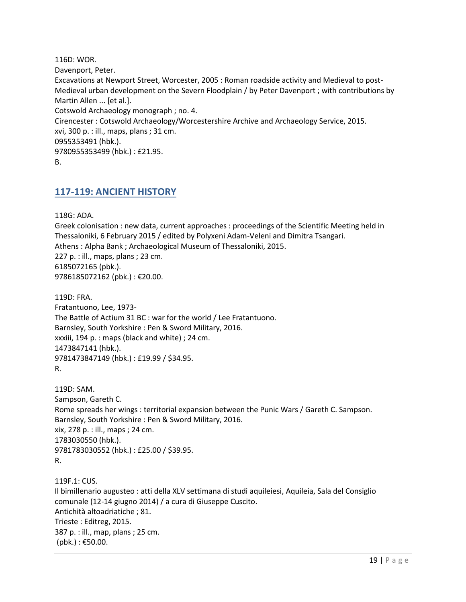116D: WOR. Davenport, Peter. Excavations at Newport Street, Worcester, 2005 : Roman roadside activity and Medieval to post-Medieval urban development on the Severn Floodplain / by Peter Davenport ; with contributions by Martin Allen ... [et al.]. Cotswold Archaeology monograph ; no. 4. Cirencester : Cotswold Archaeology/Worcestershire Archive and Archaeology Service, 2015. xvi, 300 p. : ill., maps, plans ; 31 cm. 0955353491 (hbk.). 9780955353499 (hbk.) : £21.95. B.

### <span id="page-18-0"></span>**117-119: ANCIENT HISTORY**

118G: ADA. Greek colonisation : new data, current approaches : proceedings of the Scientific Meeting held in Thessaloniki, 6 February 2015 / edited by Polyxeni Adam-Veleni and Dimitra Tsangari. Athens : Alpha Bank ; Archaeological Museum of Thessaloniki, 2015. 227 p. : ill., maps, plans ; 23 cm. 6185072165 (pbk.). 9786185072162 (pbk.) : €20.00.

119D: FRA. Fratantuono, Lee, 1973- The Battle of Actium 31 BC : war for the world / Lee Fratantuono. Barnsley, South Yorkshire : Pen & Sword Military, 2016. xxxiii, 194 p. : maps (black and white) ; 24 cm. 1473847141 (hbk.). 9781473847149 (hbk.) : £19.99 / \$34.95. R.

119D: SAM. Sampson, Gareth C. Rome spreads her wings : territorial expansion between the Punic Wars / Gareth C. Sampson. Barnsley, South Yorkshire : Pen & Sword Military, 2016. xix, 278 p. : ill., maps ; 24 cm. 1783030550 (hbk.). 9781783030552 (hbk.) : £25.00 / \$39.95. R.

119F.1: CUS. Il bimillenario augusteo : atti della XLV settimana di studi aquileiesi, Aquileia, Sala del Consiglio comunale (12-14 giugno 2014) / a cura di Giuseppe Cuscito. Antichità altoadriatiche ; 81. Trieste : Editreg, 2015. 387 p. : ill., map, plans ; 25 cm.  $(pbk.)$ : €50.00.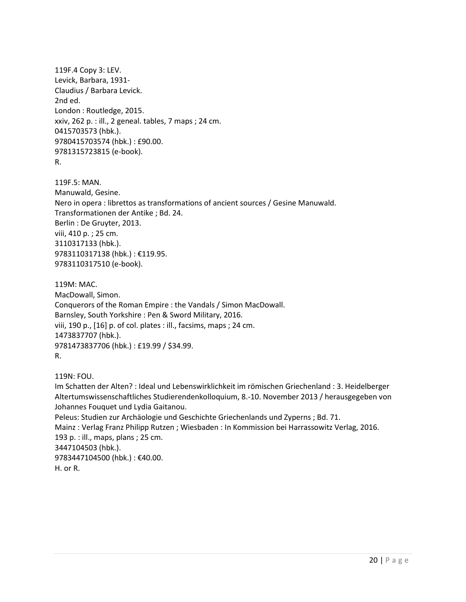119F.4 Copy 3: LEV. Levick, Barbara, 1931- Claudius / Barbara Levick. 2nd ed. London : Routledge, 2015. xxiv, 262 p. : ill., 2 geneal. tables, 7 maps ; 24 cm. 0415703573 (hbk.). 9780415703574 (hbk.) : £90.00. 9781315723815 (e-book). R.

119F.5: MAN. Manuwald, Gesine. Nero in opera : librettos as transformations of ancient sources / Gesine Manuwald. Transformationen der Antike ; Bd. 24. Berlin : De Gruyter, 2013. viii, 410 p. ; 25 cm. 3110317133 (hbk.). 9783110317138 (hbk.) : €119.95. 9783110317510 (e-book).

119M: MAC. MacDowall, Simon. Conquerors of the Roman Empire : the Vandals / Simon MacDowall. Barnsley, South Yorkshire : Pen & Sword Military, 2016. viii, 190 p., [16] p. of col. plates : ill., facsims, maps ; 24 cm. 1473837707 (hbk.). 9781473837706 (hbk.) : £19.99 / \$34.99. R.

119N: FOU.

Im Schatten der Alten? : Ideal und Lebenswirklichkeit im römischen Griechenland : 3. Heidelberger Altertumswissenschaftliches Studierendenkolloquium, 8.-10. November 2013 / herausgegeben von Johannes Fouquet und Lydia Gaitanou.

Peleus: Studien zur Archäologie und Geschichte Griechenlands und Zyperns ; Bd. 71. Mainz : Verlag Franz Philipp Rutzen ; Wiesbaden : In Kommission bei Harrassowitz Verlag, 2016. 193 p. : ill., maps, plans ; 25 cm. 3447104503 (hbk.). 9783447104500 (hbk.) : €40.00. H. or R.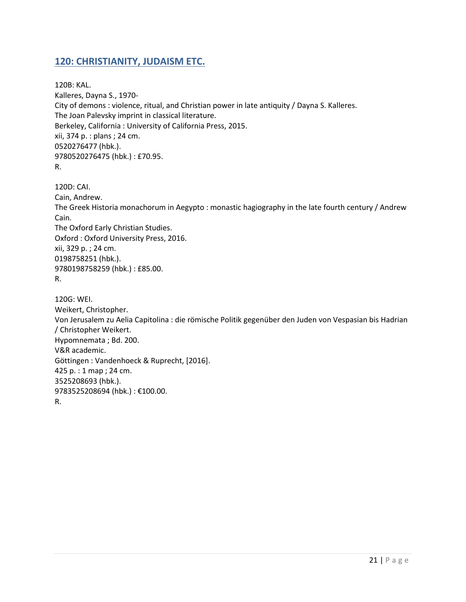## <span id="page-20-0"></span>**120: CHRISTIANITY, JUDAISM ETC.**

120B: KAL. Kalleres, Dayna S., 1970- City of demons : violence, ritual, and Christian power in late antiquity / Dayna S. Kalleres. The Joan Palevsky imprint in classical literature. Berkeley, California : University of California Press, 2015. xii, 374 p. : plans ; 24 cm. 0520276477 (hbk.). 9780520276475 (hbk.) : £70.95. R.

120D: CAI. Cain, Andrew. The Greek Historia monachorum in Aegypto : monastic hagiography in the late fourth century / Andrew Cain. The Oxford Early Christian Studies. Oxford : Oxford University Press, 2016. xii, 329 p. ; 24 cm. 0198758251 (hbk.). 9780198758259 (hbk.) : £85.00. R. 120G: WEI. Weikert, Christopher.

Von Jerusalem zu Aelia Capitolina : die römische Politik gegenüber den Juden von Vespasian bis Hadrian / Christopher Weikert. Hypomnemata ; Bd. 200. V&R academic. Göttingen : Vandenhoeck & Ruprecht, [2016]. 425 p. : 1 map ; 24 cm. 3525208693 (hbk.). 9783525208694 (hbk.) : €100.00. R.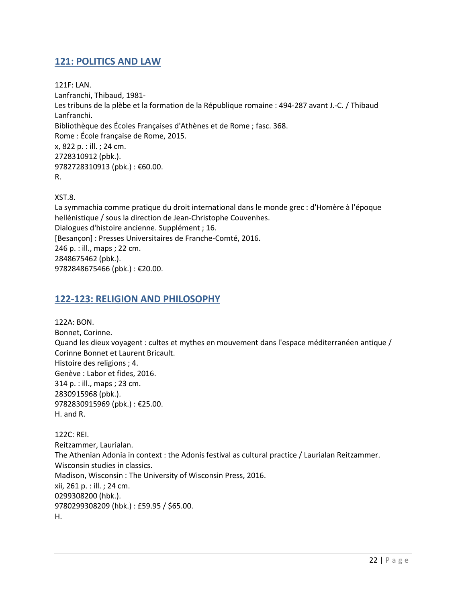## <span id="page-21-0"></span>**121: POLITICS AND LAW**

121F: LAN. Lanfranchi, Thibaud, 1981- Les tribuns de la plèbe et la formation de la République romaine : 494-287 avant J.-C. / Thibaud Lanfranchi. Bibliothèque des Écoles Françaises d'Athènes et de Rome ; fasc. 368. Rome : École française de Rome, 2015. x, 822 p. : ill. ; 24 cm. 2728310912 (pbk.). 9782728310913 (pbk.) : €60.00. R.

XST.8.

La symmachia comme pratique du droit international dans le monde grec : d'Homère à l'époque hellénistique / sous la direction de Jean-Christophe Couvenhes. Dialogues d'histoire ancienne. Supplément ; 16. [Besançon] : Presses Universitaires de Franche-Comté, 2016. 246 p. : ill., maps ; 22 cm. 2848675462 (pbk.). 9782848675466 (pbk.) : €20.00.

## <span id="page-21-1"></span>**122-123: RELIGION AND PHILOSOPHY**

122A: BON. Bonnet, Corinne. Quand les dieux voyagent : cultes et mythes en mouvement dans l'espace méditerranéen antique / Corinne Bonnet et Laurent Bricault. Histoire des religions ; 4. Genève : Labor et fides, 2016. 314 p. : ill., maps ; 23 cm. 2830915968 (pbk.). 9782830915969 (pbk.) : €25.00. H. and R.

122C: REI. Reitzammer, Laurialan. The Athenian Adonia in context : the Adonis festival as cultural practice / Laurialan Reitzammer. Wisconsin studies in classics. Madison, Wisconsin : The University of Wisconsin Press, 2016. xii, 261 p. : ill. ; 24 cm. 0299308200 (hbk.). 9780299308209 (hbk.) : £59.95 / \$65.00. H.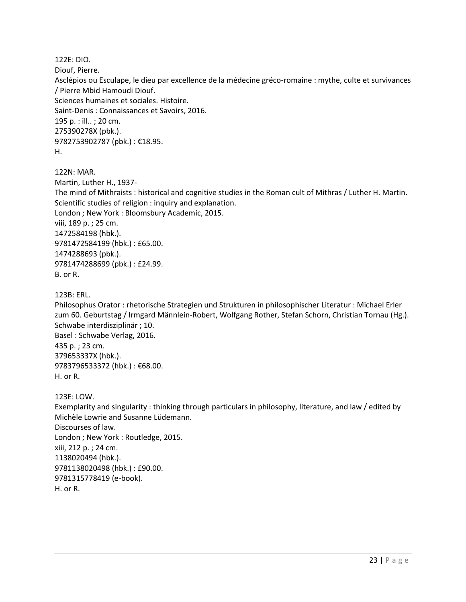122E: DIO. Diouf, Pierre. Asclépios ou Esculape, le dieu par excellence de la médecine gréco-romaine : mythe, culte et survivances / Pierre Mbid Hamoudi Diouf. Sciences humaines et sociales. Histoire. Saint-Denis : Connaissances et Savoirs, 2016. 195 p. : ill.. ; 20 cm. 275390278X (pbk.). 9782753902787 (pbk.) : €18.95. H.

122N: MAR.

Martin, Luther H., 1937- The mind of Mithraists : historical and cognitive studies in the Roman cult of Mithras / Luther H. Martin. Scientific studies of religion : inquiry and explanation. London ; New York : Bloomsbury Academic, 2015. viii, 189 p. ; 25 cm. 1472584198 (hbk.). 9781472584199 (hbk.) : £65.00. 1474288693 (pbk.). 9781474288699 (pbk.) : £24.99. B. or R.

123B: ERL.

Philosophus Orator : rhetorische Strategien und Strukturen in philosophischer Literatur : Michael Erler zum 60. Geburtstag / Irmgard Männlein-Robert, Wolfgang Rother, Stefan Schorn, Christian Tornau (Hg.). Schwabe interdisziplinär ; 10. Basel : Schwabe Verlag, 2016. 435 p. ; 23 cm. 379653337X (hbk.). 9783796533372 (hbk.) : €68.00. H. or R.

123E: LOW.

Exemplarity and singularity : thinking through particulars in philosophy, literature, and law / edited by Michèle Lowrie and Susanne Lüdemann. Discourses of law. London ; New York : Routledge, 2015. xiii, 212 p. ; 24 cm. 1138020494 (hbk.). 9781138020498 (hbk.) : £90.00. 9781315778419 (e-book). H. or R.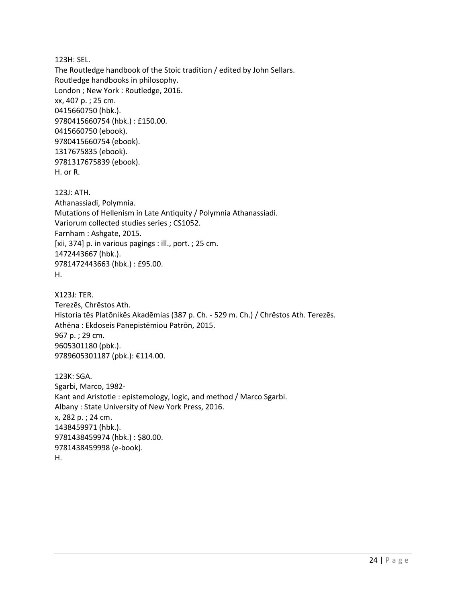123H: SEL. The Routledge handbook of the Stoic tradition / edited by John Sellars. Routledge handbooks in philosophy. London ; New York : Routledge, 2016. xx, 407 p. ; 25 cm. 0415660750 (hbk.). 9780415660754 (hbk.) : £150.00. 0415660750 (ebook). 9780415660754 (ebook). 1317675835 (ebook). 9781317675839 (ebook). H. or R.

123J: ATH. Athanassiadi, Polymnia. Mutations of Hellenism in Late Antiquity / Polymnia Athanassiadi. Variorum collected studies series ; CS1052. Farnham : Ashgate, 2015. [xii, 374] p. in various pagings : ill., port. ; 25 cm. 1472443667 (hbk.). 9781472443663 (hbk.) : £95.00. H.

X123J: TER. Terezēs, Chrēstos Ath. Historia tēs Platōnikēs Akadēmias (387 p. Ch. - 529 m. Ch.) / Chrēstos Ath. Terezēs. Athēna : Ekdoseis Panepistēmiou Patrōn, 2015. 967 p. ; 29 cm. 9605301180 (pbk.). 9789605301187 (pbk.): €114.00.

123K: SGA. Sgarbi, Marco, 1982- Kant and Aristotle : epistemology, logic, and method / Marco Sgarbi. Albany : State University of New York Press, 2016. x, 282 p. ; 24 cm. 1438459971 (hbk.). 9781438459974 (hbk.) : \$80.00. 9781438459998 (e-book). H.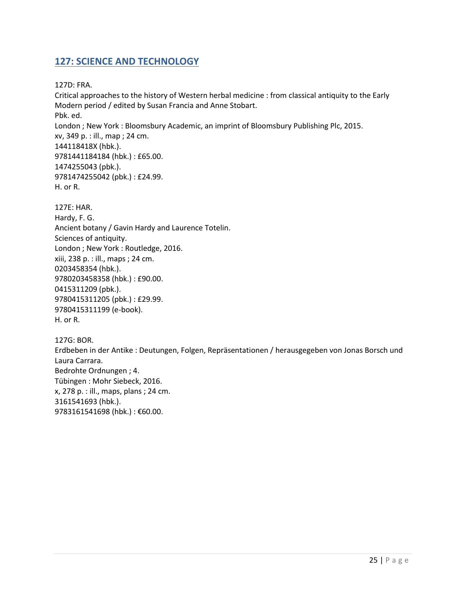## <span id="page-24-0"></span>**127: SCIENCE AND TECHNOLOGY**

127D: FRA.

Critical approaches to the history of Western herbal medicine : from classical antiquity to the Early Modern period / edited by Susan Francia and Anne Stobart. Pbk. ed. London ; New York : Bloomsbury Academic, an imprint of Bloomsbury Publishing Plc, 2015. xv, 349 p. : ill., map ; 24 cm. 144118418X (hbk.). 9781441184184 (hbk.) : £65.00. 1474255043 (pbk.). 9781474255042 (pbk.) : £24.99. H. or R. 127E: HAR.

Hardy, F. G. Ancient botany / Gavin Hardy and Laurence Totelin. Sciences of antiquity. London ; New York : Routledge, 2016. xiii, 238 p. : ill., maps ; 24 cm. 0203458354 (hbk.). 9780203458358 (hbk.) : £90.00. 0415311209 (pbk.). 9780415311205 (pbk.) : £29.99. 9780415311199 (e-book). H. or R.

127G: BOR. Erdbeben in der Antike : Deutungen, Folgen, Repräsentationen / herausgegeben von Jonas Borsch und Laura Carrara. Bedrohte Ordnungen ; 4. Tübingen : Mohr Siebeck, 2016. x, 278 p. : ill., maps, plans ; 24 cm. 3161541693 (hbk.). 9783161541698 (hbk.) : €60.00.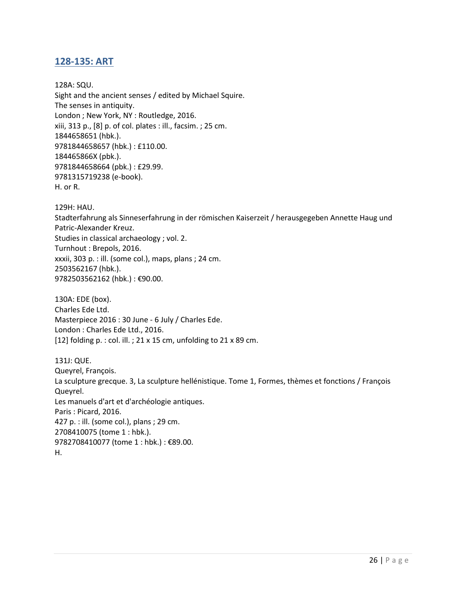## <span id="page-25-0"></span>**128-135: ART**

128A: SQU. Sight and the ancient senses / edited by Michael Squire. The senses in antiquity. London ; New York, NY : Routledge, 2016. xiii, 313 p., [8] p. of col. plates : ill., facsim. ; 25 cm. 1844658651 (hbk.). 9781844658657 (hbk.) : £110.00. 184465866X (pbk.). 9781844658664 (pbk.) : £29.99. 9781315719238 (e-book). H. or R.

129H: HAU.

Stadterfahrung als Sinneserfahrung in der römischen Kaiserzeit / herausgegeben Annette Haug und Patric-Alexander Kreuz. Studies in classical archaeology ; vol. 2. Turnhout : Brepols, 2016. xxxii, 303 p. : ill. (some col.), maps, plans ; 24 cm. 2503562167 (hbk.). 9782503562162 (hbk.) : €90.00.

130A: EDE (box). Charles Ede Ltd. Masterpiece 2016 : 30 June - 6 July / Charles Ede. London : Charles Ede Ltd., 2016. [12] folding p. : col. ill. ; 21 x 15 cm, unfolding to 21 x 89 cm.

131J: QUE. Queyrel, François. La sculpture grecque. 3, La sculpture hellénistique. Tome 1, Formes, thèmes et fonctions / François Queyrel. Les manuels d'art et d'archéologie antiques. Paris : Picard, 2016. 427 p. : ill. (some col.), plans ; 29 cm. 2708410075 (tome 1 : hbk.). 9782708410077 (tome 1 : hbk.) : €89.00. H.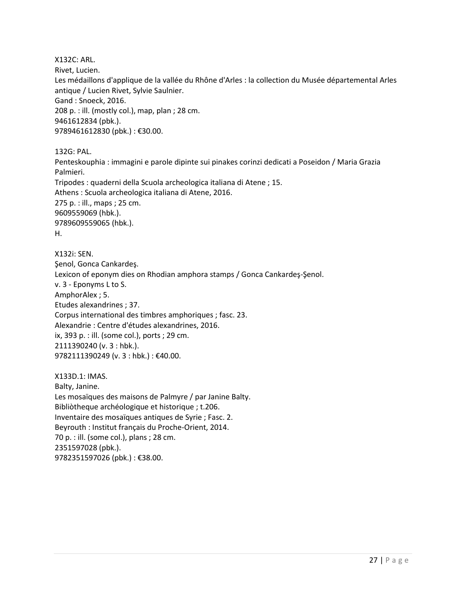X132C: ARL. Rivet, Lucien. Les médaillons d'applique de la vallée du Rhône d'Arles : la collection du Musée départemental Arles antique / Lucien Rivet, Sylvie Saulnier. Gand : Snoeck, 2016. 208 p. : ill. (mostly col.), map, plan ; 28 cm. 9461612834 (pbk.). 9789461612830 (pbk.) : €30.00.

132G: PAL.

Penteskouphia : immagini e parole dipinte sui pinakes corinzi dedicati a Poseidon / Maria Grazia Palmieri. Tripodes : quaderni della Scuola archeologica italiana di Atene ; 15. Athens : Scuola archeologica italiana di Atene, 2016. 275 p. : ill., maps ; 25 cm. 9609559069 (hbk.). 9789609559065 (hbk.). H.

X132i: SEN. Şenol, Gonca Cankardeş. Lexicon of eponym dies on Rhodian amphora stamps / Gonca Cankardeş-Şenol. v. 3 - Eponyms L to S. AmphorAlex ; 5. Etudes alexandrines ; 37. Corpus international des timbres amphoriques ; fasc. 23. Alexandrie : Centre d'études alexandrines, 2016. ix, 393 p. : ill. (some col.), ports ; 29 cm. 2111390240 (v. 3 : hbk.). 9782111390249 (v. 3 : hbk.) : €40.00.

X133D.1: IMAS. Balty, Janine. Les mosaïques des maisons de Palmyre / par Janine Balty. Bibliòtheque archéologique et historique ; t.206. Inventaire des mosaïques antiques de Syrie ; Fasc. 2. Beyrouth : Institut français du Proche-Orient, 2014. 70 p. : ill. (some col.), plans ; 28 cm. 2351597028 (pbk.). 9782351597026 (pbk.) : €38.00.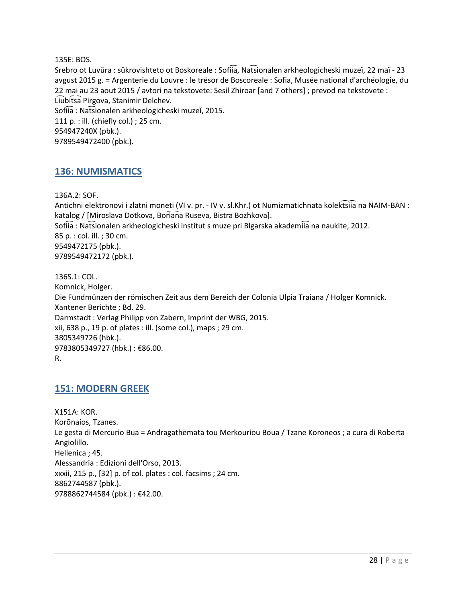135E: BOS.

Srebro ot Luvŭra : sŭkrovishteto ot Boskoreale : Sofiia, Nat͡sionalen arkheologicheski muzeĭ, 22 maĭ - 23 avgust 2015 g. = Argenterie du Louvre : le trésor de Boscoreale : Sofia, Musée national d'archéologie, du 22 mai au 23 aout 2015 / avtori na tekstovete: Sesil Zhiroar [and 7 others] ; prevod na tekstovete : Liubitsa Pirgova, Stanimir Delchev. Sofiia : Natsionalen arkheologicheski muzeĭ, 2015. 111 p. : ill. (chiefly col.) ; 25 cm. 954947240X (pbk.). 9789549472400 (pbk.).

## <span id="page-27-0"></span>**136: NUMISMATICS**

136A.2: SOF.

Antichni elektronovi i zlatni moneti (VI v. pr. - IV v. sl.Khr.) ot Numizmatichnata kolektsiia na NAIM-BAN : katalog / [Miroslava Dotkova, Boriana Ruseva, Bistra Bozhkova]. Sofiia : Natsionalen arkheologicheski institut s muze pri Blgarska akademiia na naukite, 2012. 85 p. : col. ill. ; 30 cm. 9549472175 (pbk.). 9789549472172 (pbk.).

136S.1: COL. Komnick, Holger. Die Fundmünzen der römischen Zeit aus dem Bereich der Colonia Ulpia Traiana / Holger Komnick. Xantener Berichte ; Bd. 29. Darmstadt : Verlag Philipp von Zabern, Imprint der WBG, 2015. xii, 638 p., 19 p. of plates : ill. (some col.), maps ; 29 cm. 3805349726 (hbk.). 9783805349727 (hbk.) : €86.00. R.

## <span id="page-27-1"></span>**151: MODERN GREEK**

X151A: KOR. Korōnaios, Tzanes. Le gesta di Mercurio Bua = Andragathēmata tou Merkouriou Boua / Tzane Koroneos ; a cura di Roberta Angiolillo. Hellenica ; 45. Alessandria : Edizioni dell'Orso, 2013. xxxii, 215 p., [32] p. of col. plates : col. facsims ; 24 cm. 8862744587 (pbk.). 9788862744584 (pbk.) : €42.00.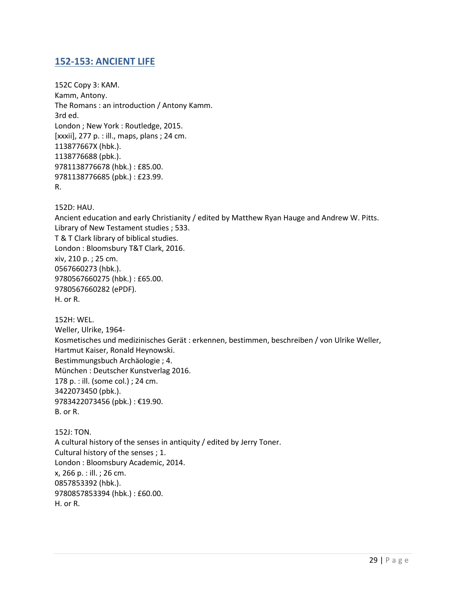## <span id="page-28-0"></span>**152-153: ANCIENT LIFE**

152C Copy 3: KAM. Kamm, Antony. The Romans : an introduction / Antony Kamm. 3rd ed. London ; New York : Routledge, 2015. [xxxii], 277 p. : ill., maps, plans ; 24 cm. 113877667X (hbk.). 1138776688 (pbk.). 9781138776678 (hbk.) : £85.00. 9781138776685 (pbk.) : £23.99. R.

152D: HAU.

Ancient education and early Christianity / edited by Matthew Ryan Hauge and Andrew W. Pitts. Library of New Testament studies ; 533. T & T Clark library of biblical studies. London : Bloomsbury T&T Clark, 2016. xiv, 210 p. ; 25 cm. 0567660273 (hbk.). 9780567660275 (hbk.) : £65.00. 9780567660282 (ePDF). H. or R.

152H: WEL. Weller, Ulrike, 1964- Kosmetisches und medizinisches Gerät : erkennen, bestimmen, beschreiben / von Ulrike Weller, Hartmut Kaiser, Ronald Heynowski. Bestimmungsbuch Archäologie ; 4. München : Deutscher Kunstverlag 2016. 178 p. : ill. (some col.) ; 24 cm. 3422073450 (pbk.). 9783422073456 (pbk.) : €19.90. B. or R.

152J: TON. A cultural history of the senses in antiquity / edited by Jerry Toner. Cultural history of the senses ; 1. London : Bloomsbury Academic, 2014. x, 266 p. : ill. ; 26 cm. 0857853392 (hbk.). 9780857853394 (hbk.) : £60.00. H. or R.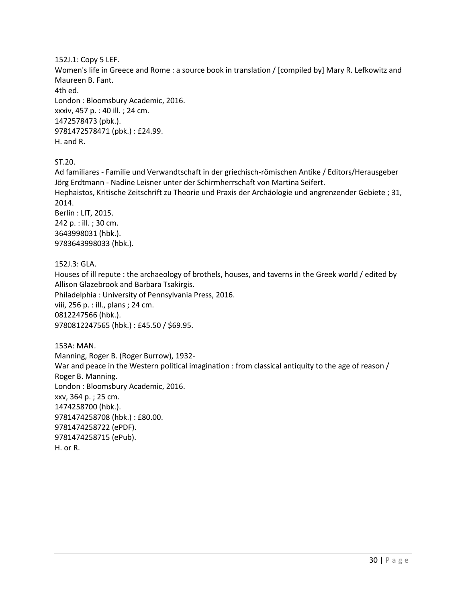152J.1: Copy 5 LEF.

Women's life in Greece and Rome : a source book in translation / [compiled by] Mary R. Lefkowitz and Maureen B. Fant.

4th ed.

London : Bloomsbury Academic, 2016. xxxiv, 457 p. : 40 ill. ; 24 cm. 1472578473 (pbk.). 9781472578471 (pbk.) : £24.99. H. and R.

ST.20.

Ad familiares - Familie und Verwandtschaft in der griechisch-römischen Antike / Editors/Herausgeber Jörg Erdtmann - Nadine Leisner unter der Schirmherrschaft von Martina Seifert. Hephaistos, Kritische Zeitschrift zu Theorie und Praxis der Archäologie und angrenzender Gebiete ; 31, 2014. Berlin : LIT, 2015. 242 p. : ill. ; 30 cm. 3643998031 (hbk.). 9783643998033 (hbk.).

152J.3: GLA.

Houses of ill repute : the archaeology of brothels, houses, and taverns in the Greek world / edited by Allison Glazebrook and Barbara Tsakirgis. Philadelphia : University of Pennsylvania Press, 2016. viii, 256 p. : ill., plans ; 24 cm. 0812247566 (hbk.). 9780812247565 (hbk.) : £45.50 / \$69.95.

153A: MAN. Manning, Roger B. (Roger Burrow), 1932- War and peace in the Western political imagination : from classical antiquity to the age of reason / Roger B. Manning. London : Bloomsbury Academic, 2016. xxv, 364 p. ; 25 cm. 1474258700 (hbk.). 9781474258708 (hbk.) : £80.00. 9781474258722 (ePDF). 9781474258715 (ePub). H. or R.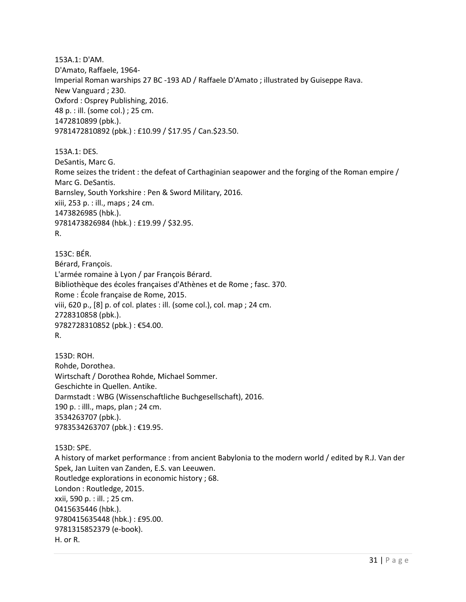153A.1: D'AM. D'Amato, Raffaele, 1964- Imperial Roman warships 27 BC -193 AD / Raffaele D'Amato ; illustrated by Guiseppe Rava. New Vanguard ; 230. Oxford : Osprey Publishing, 2016. 48 p. : ill. (some col.) ; 25 cm. 1472810899 (pbk.). 9781472810892 (pbk.) : £10.99 / \$17.95 / Can.\$23.50.

153A.1: DES. DeSantis, Marc G. Rome seizes the trident : the defeat of Carthaginian seapower and the forging of the Roman empire / Marc G. DeSantis. Barnsley, South Yorkshire : Pen & Sword Military, 2016. xiii, 253 p. : ill., maps ; 24 cm. 1473826985 (hbk.). 9781473826984 (hbk.) : £19.99 / \$32.95. R.

153C: BÉR. Bérard, François. L'armée romaine à Lyon / par François Bérard. Bibliothèque des écoles françaises d'Athènes et de Rome ; fasc. 370. Rome : École française de Rome, 2015. viii, 620 p., [8] p. of col. plates : ill. (some col.), col. map ; 24 cm. 2728310858 (pbk.). 9782728310852 (pbk.) : €54.00. R.

153D: ROH. Rohde, Dorothea. Wirtschaft / Dorothea Rohde, Michael Sommer. Geschichte in Quellen. Antike. Darmstadt : WBG (Wissenschaftliche Buchgesellschaft), 2016. 190 p. : illl., maps, plan ; 24 cm. 3534263707 (pbk.). 9783534263707 (pbk.) : €19.95.

153D: SPE. A history of market performance : from ancient Babylonia to the modern world / edited by R.J. Van der Spek, Jan Luiten van Zanden, E.S. van Leeuwen. Routledge explorations in economic history ; 68. London : Routledge, 2015. xxii, 590 p. : ill. ; 25 cm. 0415635446 (hbk.). 9780415635448 (hbk.) : £95.00. 9781315852379 (e-book). H. or R.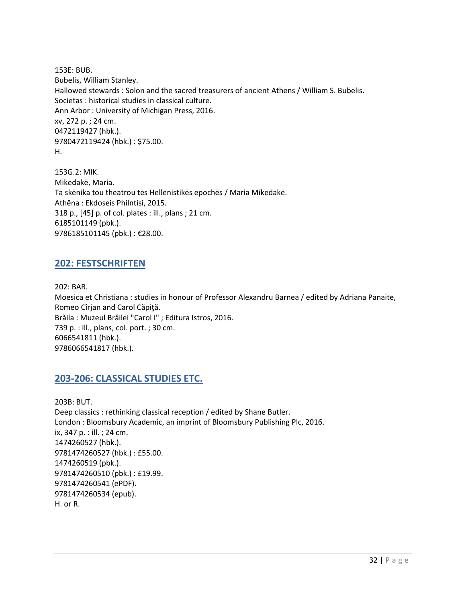153E: BUB. Bubelis, William Stanley. Hallowed stewards : Solon and the sacred treasurers of ancient Athens / William S. Bubelis. Societas : historical studies in classical culture. Ann Arbor : University of Michigan Press, 2016. xv, 272 p. ; 24 cm. 0472119427 (hbk.). 9780472119424 (hbk.) : \$75.00. H.

153G.2: MIK. Mikedakē, Maria. Ta skēnika tou theatrou tēs Hellēnistikēs epochēs / Maria Mikedakē. Athēna : Ekdoseis Philntisi, 2015. 318 p., [45] p. of col. plates : ill., plans ; 21 cm. 6185101149 (pbk.). 9786185101145 (pbk.) : €28.00.

## <span id="page-31-0"></span>**202: FESTSCHRIFTEN**

202: BAR. Moesica et Christiana : studies in honour of Professor Alexandru Barnea / edited by Adriana Panaite, Romeo Cîrjan and Carol Căpiţă. Brǎila : Muzeul Brǎilei "Carol I" ; Editura Istros, 2016. 739 p. : ill., plans, col. port. ; 30 cm. 6066541811 (hbk.). 9786066541817 (hbk.).

## <span id="page-31-1"></span>**203-206: CLASSICAL STUDIES ETC.**

203B: BUT. Deep classics : rethinking classical reception / edited by Shane Butler. London : Bloomsbury Academic, an imprint of Bloomsbury Publishing Plc, 2016. ix, 347 p. : ill. ; 24 cm. 1474260527 (hbk.). 9781474260527 (hbk.) : £55.00. 1474260519 (pbk.). 9781474260510 (pbk.) : £19.99. 9781474260541 (ePDF). 9781474260534 (epub). H. or R.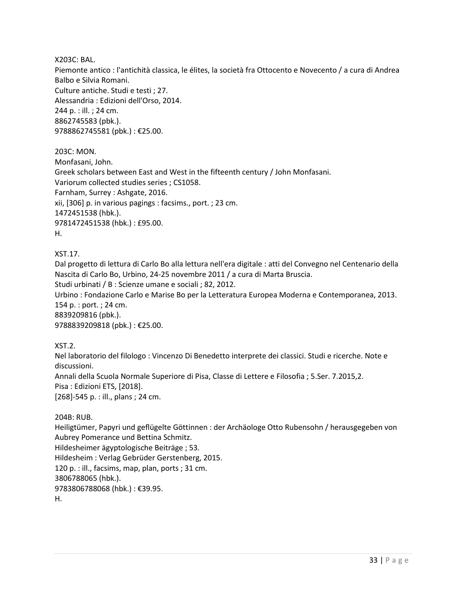X203C: BAL.

Piemonte antico : l'antichità classica, le élites, la società fra Ottocento e Novecento / a cura di Andrea Balbo e Silvia Romani. Culture antiche. Studi e testi ; 27. Alessandria : Edizioni dell'Orso, 2014. 244 p. : ill. ; 24 cm. 8862745583 (pbk.). 9788862745581 (pbk.) : €25.00.

203C: MON. Monfasani, John. Greek scholars between East and West in the fifteenth century / John Monfasani. Variorum collected studies series ; CS1058. Farnham, Surrey : Ashgate, 2016. xii, [306] p. in various pagings : facsims., port. ; 23 cm. 1472451538 (hbk.). 9781472451538 (hbk.) : £95.00. H.

XST.17.

Dal progetto di lettura di Carlo Bo alla lettura nell'era digitale : atti del Convegno nel Centenario della Nascita di Carlo Bo, Urbino, 24-25 novembre 2011 / a cura di Marta Bruscia. Studi urbinati / B : Scienze umane e sociali ; 82, 2012. Urbino : Fondazione Carlo e Marise Bo per la Letteratura Europea Moderna e Contemporanea, 2013. 154 p. : port. ; 24 cm. 8839209816 (pbk.).

9788839209818 (pbk.) : €25.00.

XST.2.

Nel laboratorio del filologo : Vincenzo Di Benedetto interprete dei classici. Studi e ricerche. Note e discussioni.

Annali della Scuola Normale Superiore di Pisa, Classe di Lettere e Filosofia ; 5.Ser. 7.2015,2. Pisa : Edizioni ETS, [2018].

[268]-545 p. : ill., plans ; 24 cm.

204B: RUB.

Heiligtümer, Papyri und geflügelte Göttinnen : der Archäologe Otto Rubensohn / herausgegeben von Aubrey Pomerance und Bettina Schmitz. Hildesheimer ägyptologische Beiträge ; 53. Hildesheim : Verlag Gebrüder Gerstenberg, 2015. 120 p. : ill., facsims, map, plan, ports ; 31 cm. 3806788065 (hbk.). 9783806788068 (hbk.) : €39.95. H.